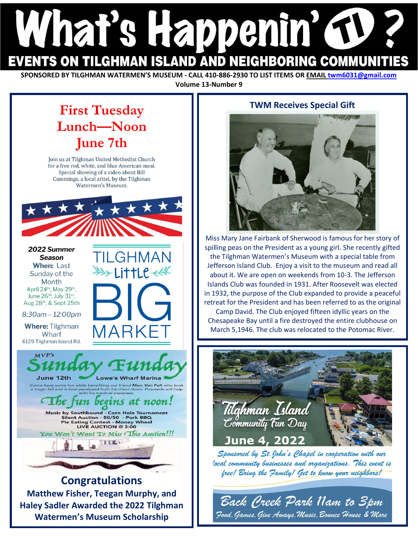# hat's Happenin G EVENTS ON TILGHMAN ISLAND AND NEIGHBORING COMMUNI'

**SPONSORED BY TILGHMAN WATERMEN'S MUSEUM - CALL 410-886-2930 TO LIST ITEMS OR EMAIL twm6031@gmail.com Volume 13-Number 9**

## **First Tuesday** Lunch-Noon **June 7th**

Join us at Tilghman United Methodist Church for a free red, white, and blue American meal. Special showing of a video about Bill Cummings, a local artist, by the Tilghman Watermen's Museum.



**Congratulations Matthew Fisher, Teegan Murphy, and Haley Sadler Awarded the 2022 Tilghman Watermen's Museum Scholarship**

#### **TWM Receives Special Gift**



Miss Mary Jane Fairbank of Sherwood is famous for her story of spilling peas on the President as a young girl. She recently gifted the Tilghman Watermen's Museum with a special table from Jefferson Island Club. Enjoy a visit to the museum and read all about it. We are open on weekends from 10-3. The Jefferson Islands Club was founded in 1931. After Roosevelt was elected in 1932, the purpose of the Club expanded to provide a peaceful retreat for the President and has been referred to as the original Camp David. The Club enjoyed fifteen idyllic years on the

Chesapeake Bay until a fire destroyed the entire clubhouse on March 5,1946. The club was relocated to the Potomac River.

filahman Island Community Fun Day June 4, 2022

Sponsored by St. John's Chapel in cooperation with our local community businesses and organizations. This event is free! Bring the Family! Get to know your neighbors!

Back Creek Park Nam to 3pm Jood, Games, Give Aways, Music, Bounce House & More